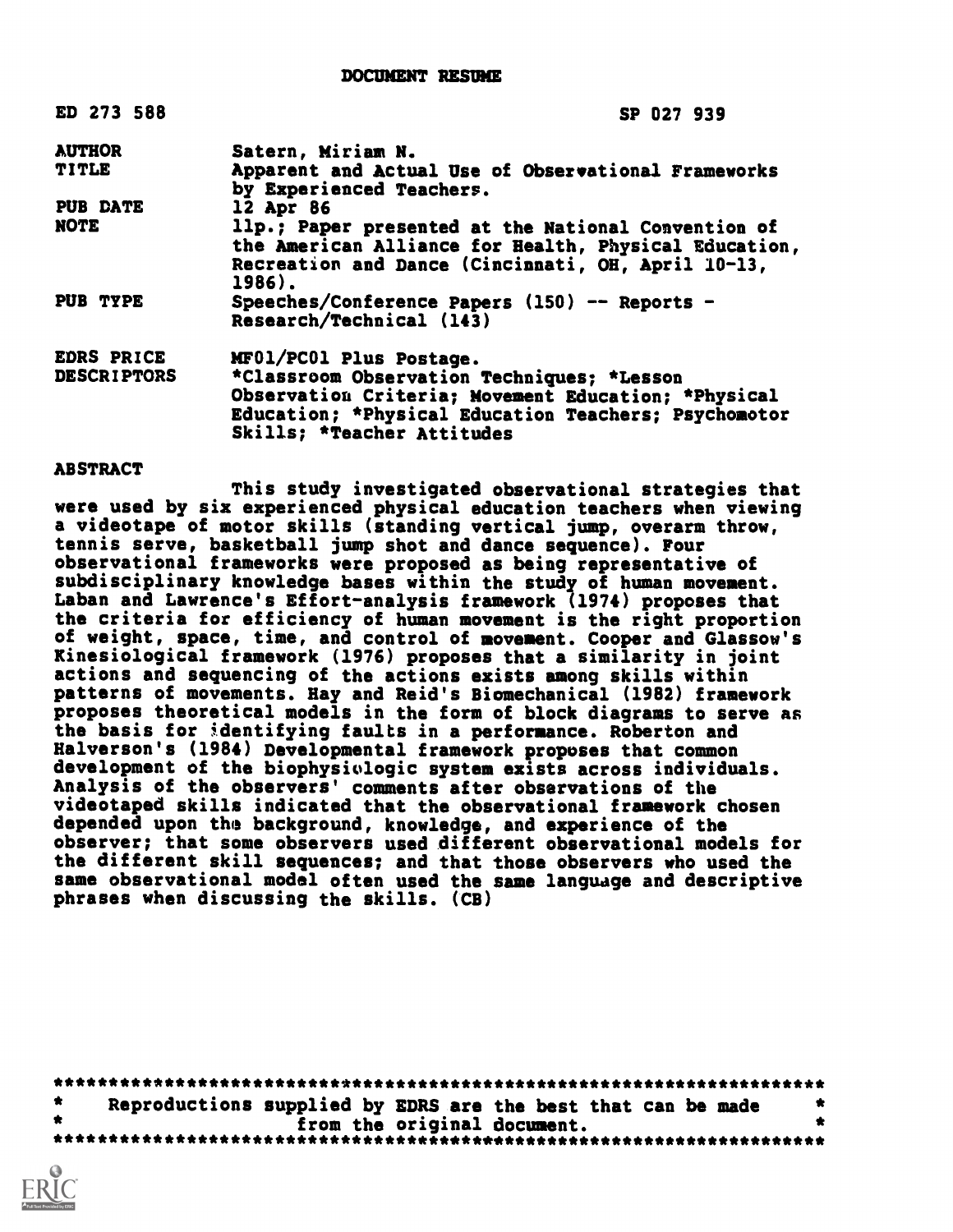DOCUMENT RESUME

| ED 273 588         | SP 027 939                                                                                                                                                                              |
|--------------------|-----------------------------------------------------------------------------------------------------------------------------------------------------------------------------------------|
| <b>AUTHOR</b>      | Satern, Miriam N.                                                                                                                                                                       |
| <b>TITLE</b>       | Apparent and Actual Use of Observational Frameworks<br>by Experienced Teachers.                                                                                                         |
| <b>PUB DATE</b>    | 12 Apr 86                                                                                                                                                                               |
| <b>NOTE</b>        | 11p.; Paper presented at the National Convention of<br>the American Alliance for Health, Physical Education,<br>Recreation and Dance (Cincinnati, OH, April 10-13,<br>1986).            |
| PUB TYPE           | Speeches/Conference Papers (150) -- Reports -<br>Research/Technical (143)                                                                                                               |
| EDRS PRICE         | MF01/PC01 Plus Postage.                                                                                                                                                                 |
| <b>DESCRIPTORS</b> | *Classroom Observation Techniques; *Lesson<br>Observation Criteria; Movement Education; *Physical<br>Education; *Physical Education Teachers; Psychomotor<br>Skills; *Teacher Attitudes |

### ABSTRACT

This study investigated observational strategies that were used by six experienced physical education teachers when viewing a videotape of motor skills (standing vertical jump, overarm throw, tennis serve, basketball jump shot and dance sequence). Four observational frameworks were proposed as being representative of subdisciplinary knowledge bases within the study of human movement. Laban and Lawrence's Effort-analysis framework (1974) proposes that the criteria for efficiency of human movement is the right proportion of weight, space, time, and control of movement. Cooper and Glassow's Kinesiological framework (1976) proposes that a similarity in joint actions and sequencing of the actions exists among skills within patterns of movements. Hay and Reid's Biomechanical (1982) framework proposes theoretical models in the form of block diagrams to serve as the basis for identifying faults in a performance. Roberton and Halverson's (1984) Developmental framework proposes that common development of the biophysiologic system exists across individuals. Analysis of the observers' comments after observations of the videotaped skills indicated that the observational framework chosen depended upon the background, knowledge, and experience of the observer; that some observers used different observational models for the different skill sequences; and that those observers who used the same observational model often used the same language and descriptive phrases when discussing the skills. (CB)

\*\*\*\*\*\*\*\*\*\*\*\*\*\*\*\*\*\*\*\*\*\*\*\*\*\*\*\*\*\*\*\*\*\*\*\*\*\*\*\*\*\*\*\*\*\*\*\*\*\*\*\*\*\*\*\*\*\*\*\*\*\*\*\*\*\*\*\*\*\*\* Reproductions supplied by EDRS are the best that can be made<br>from the original document. from the original document. \*\*\*\*\*\*\*\*\*\*\*\*\*\*\*\*\*\*\*\*\*\*\*\*\*\*\*\*\*\*\*\*\*\*\*\*\*\*\*\*\*\*\*\*\*\*\*\*\*\*\*\*\*\*\*\*\*\*\*\*\*\*\*\*\*\*\*\*\*\*\*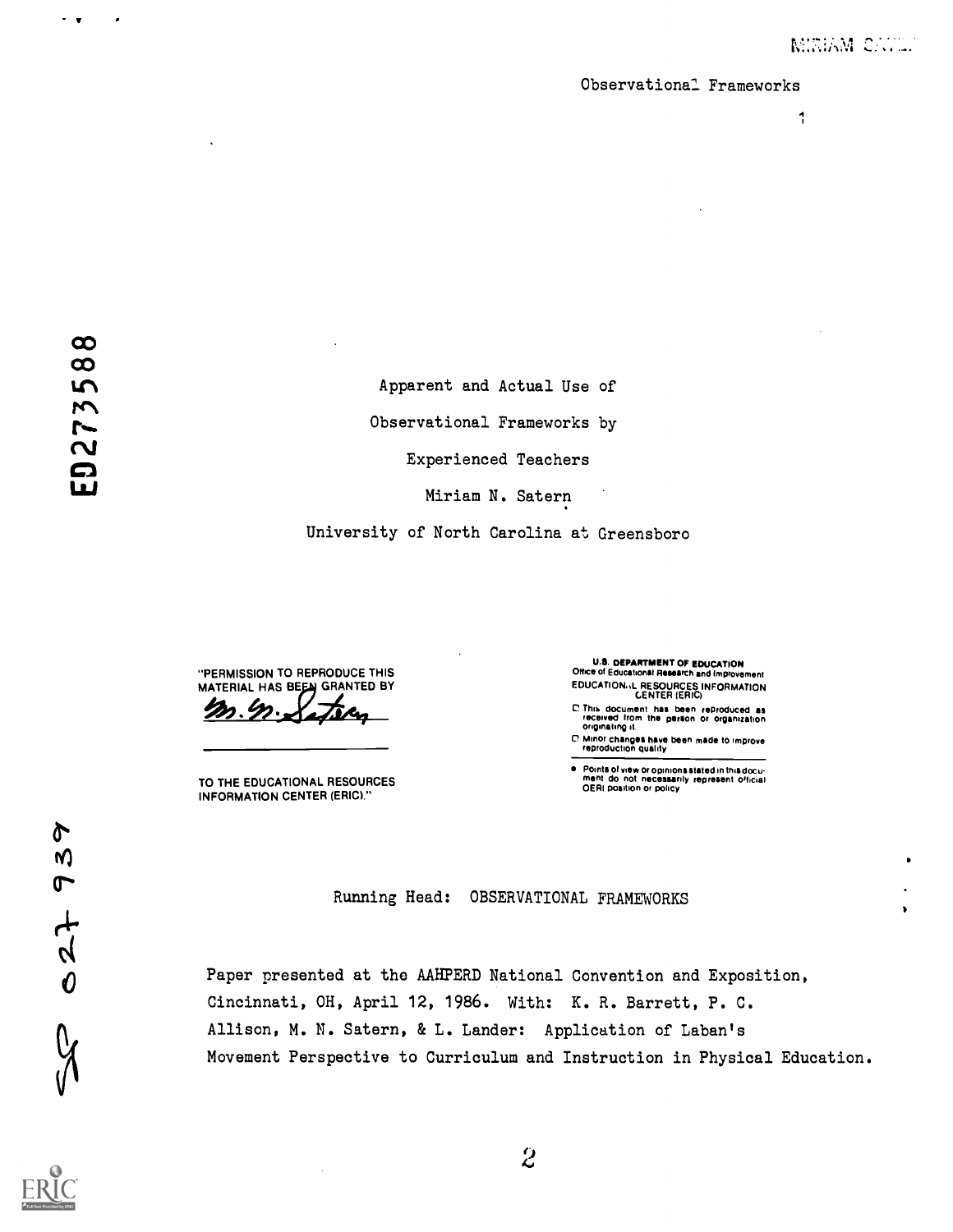#### Observational Frameworks

11 (1991) 1991

 $\sim$   $\sim$ 

.

Apparent and Actual Use of Observational Frameworks by Experienced Teachers Miriam N. Satern

University of North Carolina at Greensboro

"PERMISSION TO REPRODUCE THIS MATERIAL HAS BEEN GRANTED BY

TO THE EDUCATIONAL RESOURCES INFORMATION CENTER (ERIC)."

U.S. DEPARTMENT OF EDUCATION Office of Educational Research and Improvement EDUCATIONAL RESOURCES INFORMATION<br>CENTER (ERIC)

- C Thia document his been reproduced as received from the person or Organization originating it
- O Minor changes have been made to improve reproduction Quality

 $\bullet$ Points of view or opinions stated in this docu-<br>ment .do .not .necessarily .represent .official<br>OERI position or policy

Running Head: OBSERVATIONAL FRAMEWORKS

Paper presented at the AAHPERD National Convention and Exposition, Cincinnati, OH, April 12, 1986. With: K. R. Barrett, P. C. Allison, M. N. Satern, & L. Lander: Application of Laban's Movement Perspective to Curriculum and Instruction in Physical Education.

027 939



9  $\overline{c}$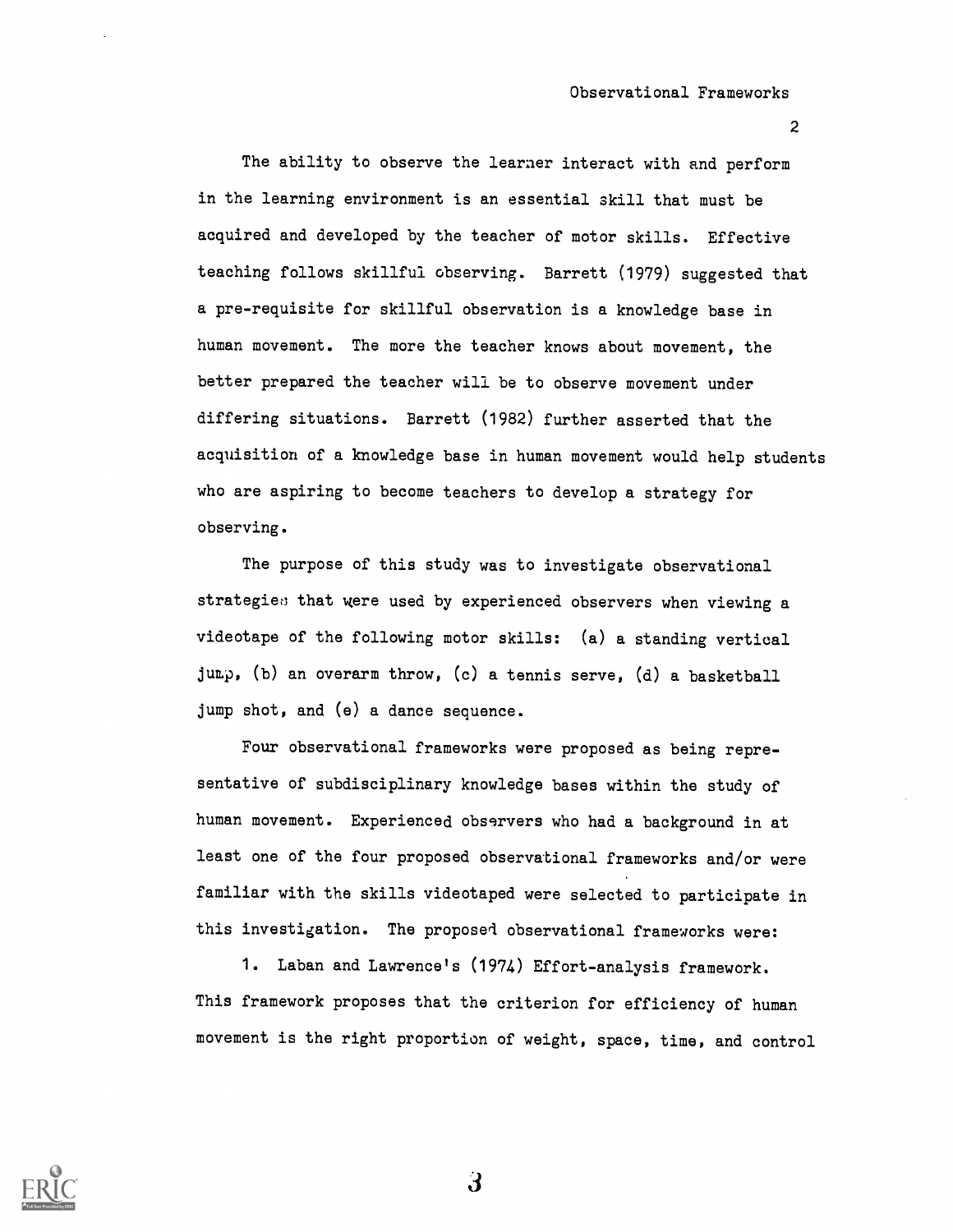Observational Frameworks

2

The ability to observe the learner interact with and perform in the learning environment is an essential skill that must be acquired and developed by the teacher of motor skills. Effective teaching follows skillful observing. Barrett (1979) suggested that a pre-requisite for skillful observation is a knowledge base in human movement. The more the teacher knows about movement, the better prepared the teacher will be to observe movement under differing situations. Barrett (1982) further asserted that the acquisition of a knowledge base in human movement would help students who are aspiring to become teachers to develop a strategy for observing.

The purpose of this study was to investigate observational strategies that were used by experienced observers when viewing a videotape of the following motor skills: (a) a standing vertical jump, (b) an overarm throw, (c) a tennis serve, (d) a basketball jump shot, and (e) a dance sequence.

Four observational frameworks were proposed as being representative of subdisciplinary knowledge bases within the study of human movement. Experienced observers who had a background in at least one of the four proposed observational frameworks and/or were familiar with the skills videotaped were selected to participate in this investigation. The proposed observational frameworks were:

1. Laban and Lawrence's (1974) Effort-analysis framework. This framework proposes that the criterion for efficiency of human movement is the right proportion of weight, space, time, and control

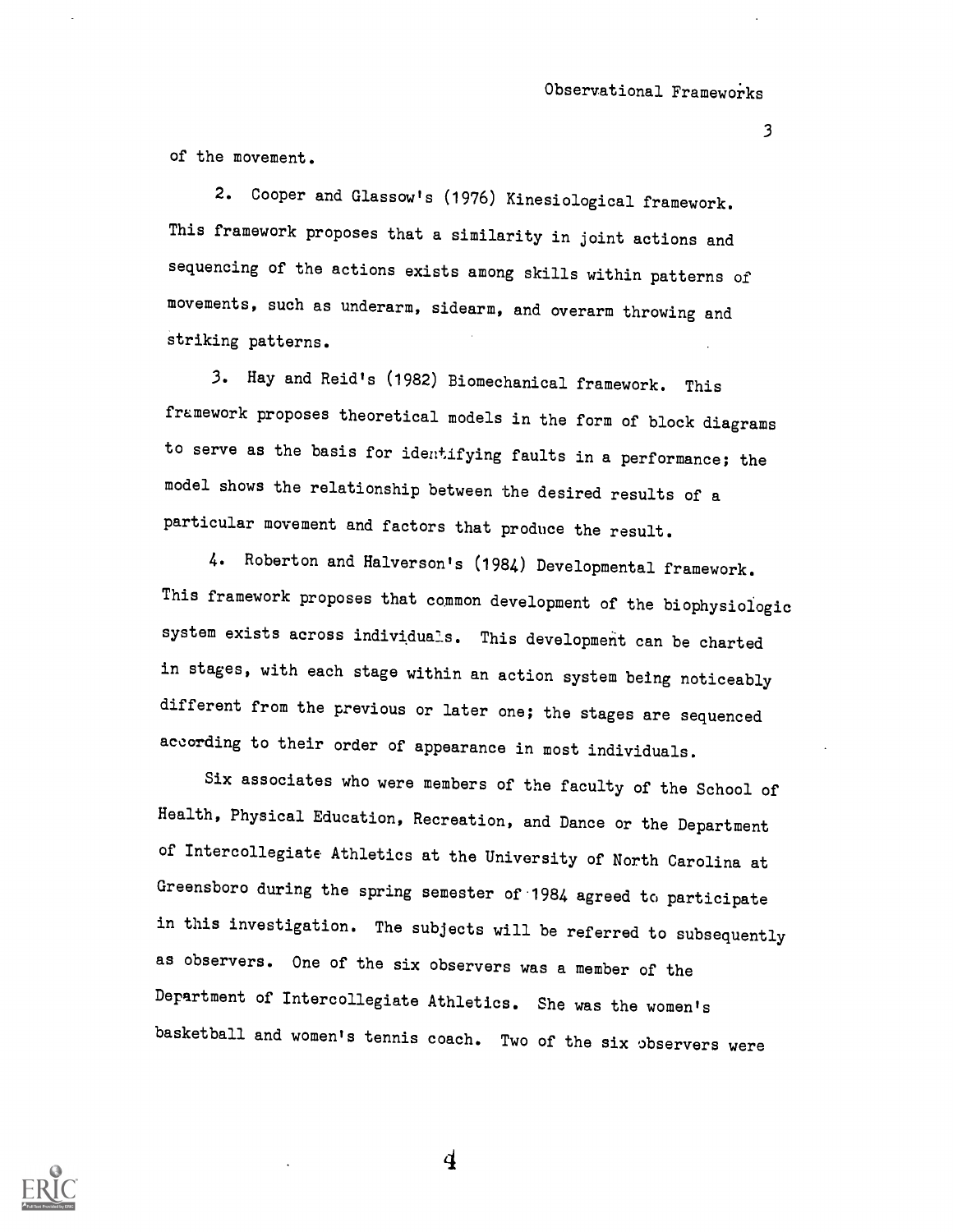of the movement.

2. Cooper and Glassow's (1976) Kinesiological framework. This framework proposes that a similarity in joint actions and sequencing of the actions exists among skills within patterns of movements, such as underarm, sidearm, and overarm throwing and striking patterns.

3. Hay and Reid's (1982) Biomechanical framework. This framework proposes theoretical models in the form of block diagrams to serve as the basis for identifying faults in a performance; the model shows the relationship between the desired results of a particular movement and factors that produce the result.

4. Roberton and Halverson's (1984) Developmental framework. This framework proposes that common development of the biophysioiogic system exists across individuals. This development can be charted in stages, with each stage within an action system being noticeably different from the previous or later one; the stages are sequenced according to their order of appearance in most individuals.

Six associates who were members of the faculty of the School of Health, Physical Education, Recreation, and Dance or the Department of Intercollegiate Athletics at the University of North Carolina at Greensboro during the spring semester of 1984 agreed to participate in this investigation. The subjects will be referred to subsequently as observers. One of the six observers was a member of the Department of Intercollegiate Athletics. She was the women's basketball and women's tennis coach. Two of the six observers were

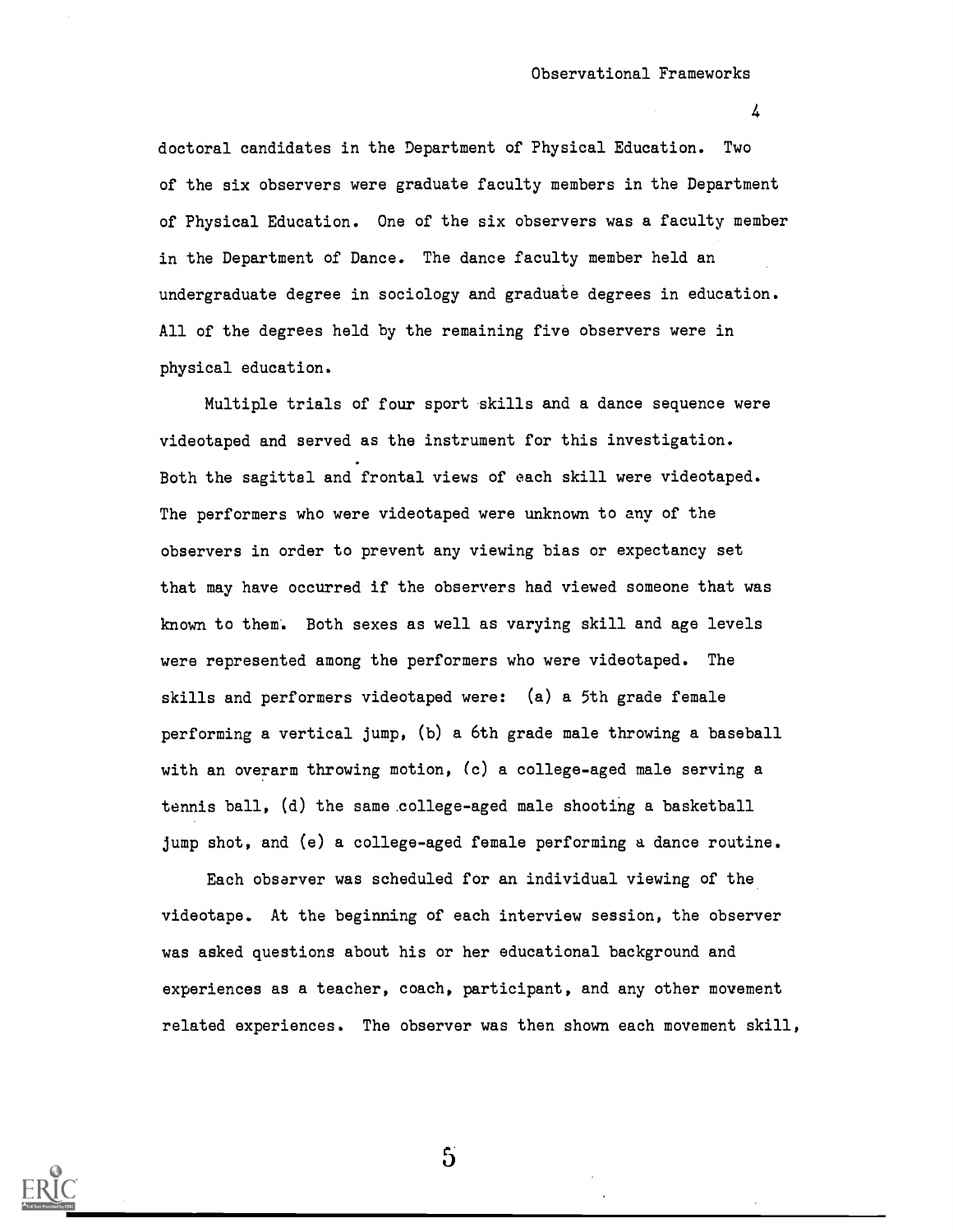doctoral candidates in the Department of Physical Education. Two of the six observers were graduate faculty members in the Department of Physical Education. One of the six observers was a faculty member in the Department of Dance. The dance faculty member held an undergraduate degree in sociology and graduate degrees in education. All of the degrees held by the remaining five observers were in physical education.

Multiple trials of four sport skills and a dance sequence were videotaped and served as the instrument for this investigation. Both the sagittal and frontal views of each skill were videotaped. The performers who were videotaped were unknown to any of the observers in order to prevent any viewing bias or expectancy set that may have occurred if the observers had viewed someone that was known to them. Both sexes as well as varying skill and age levels were represented among the performers who were videotaped. The skills and performers videotaped were: (a) a 5th grade female performing a vertical jump, (b) a 6th grade male throwing a baseball with an overarm throwing motion, (c) a college-aged male serving a tennis ball, (d) the same .college-aged male shooting a basketball jump shot, and (e) a college-aged female performing a dance routine.

Each observer was scheduled for an individual viewing of the videotape. At the beginning of each interview session, the observer was asked questions about his or her educational background and experiences as a teacher, coach, participant, and any other movement related experiences. The observer was then shown each movement skill,

 $\mathbf{5}$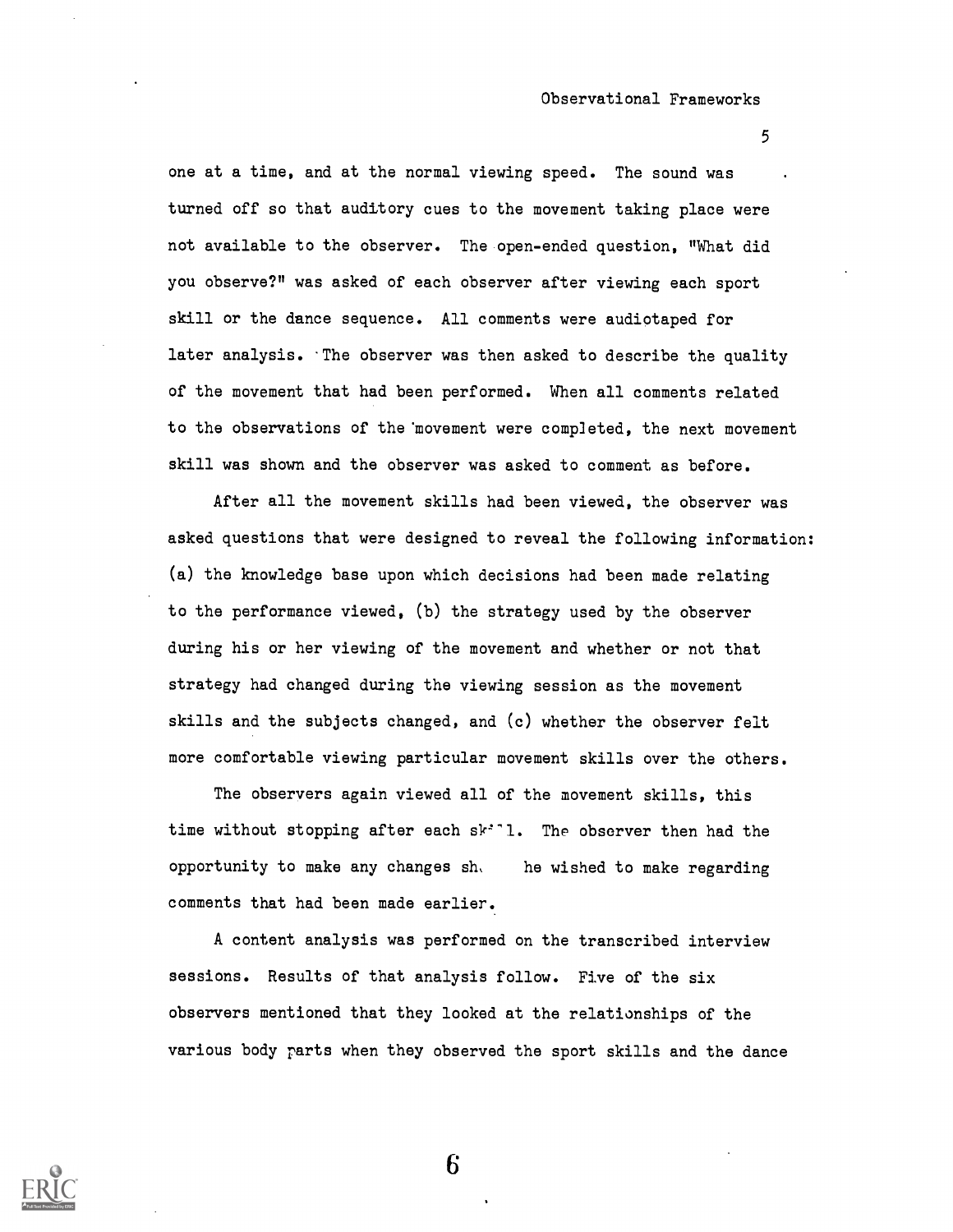one at a time, and at the normal viewing speed. The sound was turned off so that auditory cues to the movement taking place were not available to the observer. The open-ended question, "What did you observe?" was asked of each observer after viewing each sport skill or the dance sequence. All comments were audiotaped for later analysis. 'The observer was then asked to describe the quality of the movement that had been performed. When all comments related to the observations of the'movement were completed, the next movement skill was shown and the observer was asked to comment as before.

After all the movement skills had been viewed, the observer was asked questions that were designed to reveal the following information: (a) the knowledge base upon which decisions had been made relating to the performance viewed, (b) the strategy used by the observer during his or her viewing of the movement and whether or not that strategy had changed during the viewing session as the movement skills and the subjects changed, and (c) whether the observer felt more comfortable viewing particular movement skills over the others.

The observers again viewed all of the movement skills, this time without stopping after each sk''1. The observer then had the opportunity to make any changes sh, he wished to make regarding comments that had been made earlier.

A content analysis was performed on the transcribed interview sessions. Results of that analysis follow. Five of the six observers mentioned that they looked at the relationships of the various body rarts when they observed the sport skills and the dance

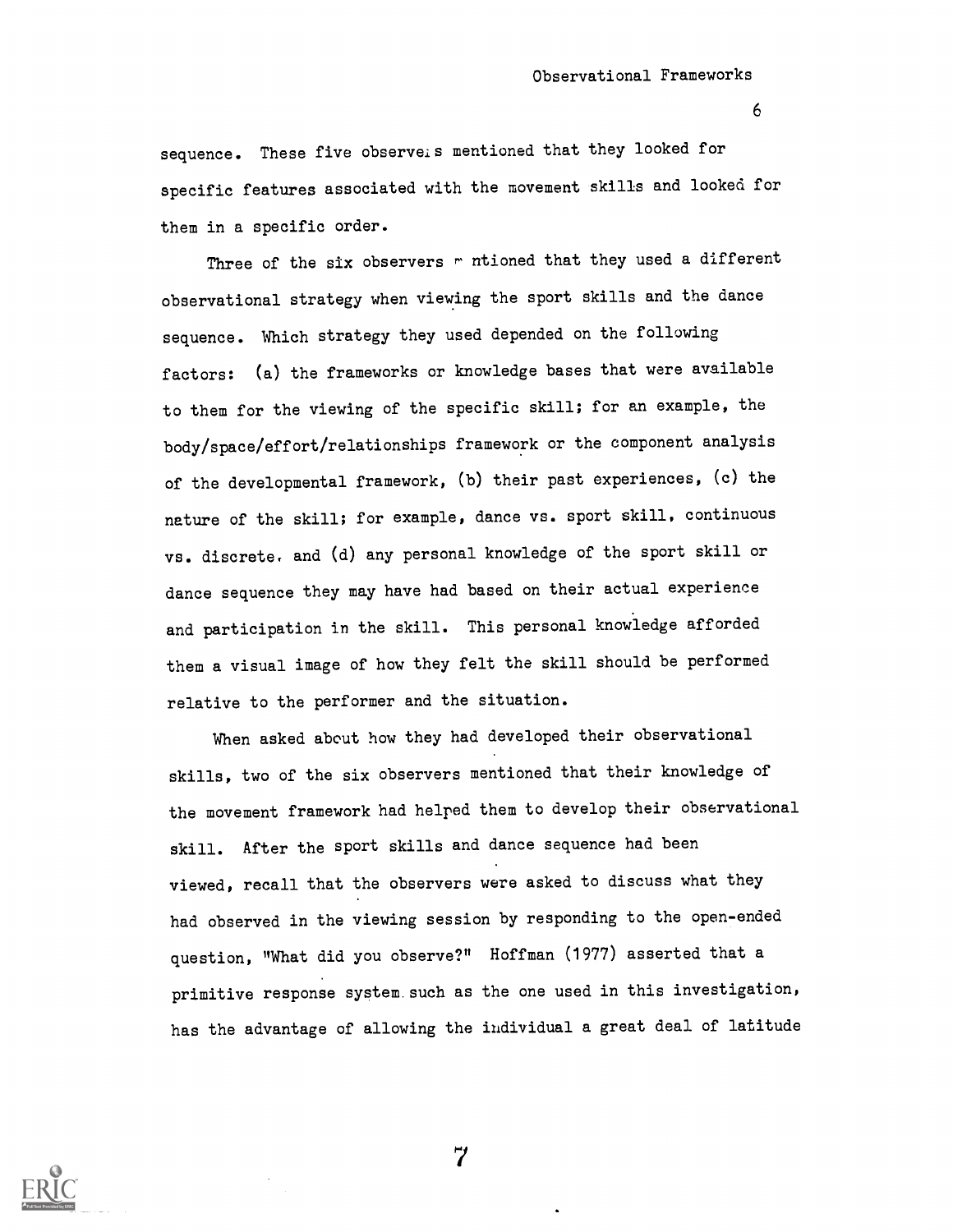sequence. These five observeis mentioned that they looked for specific features associated with the movement skills and looked for them in a specific order.

Three of the six observers  $r$  ntioned that they used a different observational strategy when viewing the sport skills and the dance sequence. Which strategy they used depended on the following factors: (a) the frameworks or knowledge bases that were available to them for the viewing of the specific skill; for an example, the body/space/effort/relationships framework or the component analysis of the developmental framework, (b) their past experiences, (c) the nature of the skill; for example, dance vs. sport skill, continuous vs. discrete, and (d) any personal knowledge of the sport skill or dance sequence they may have had based on their actual experience and participation in the skill. This personal knowledge afforded them a visual image of how they felt the skill should be performed relative to the performer and the situation.

When asked about how they had developed their observational skills, two of the six observers mentioned that their knowledge of the movement framework had helped them to develop their observational skill. After the sport skills and dance sequence had been viewed, recall that the observers were asked to discuss what they had observed in the viewing session by responding to the open-ended question, "What did you observe?" Hoffman (1977) asserted that a primitive response system.such as the one used in this investigation, has the advantage of allowing the individual a great deal of latitude

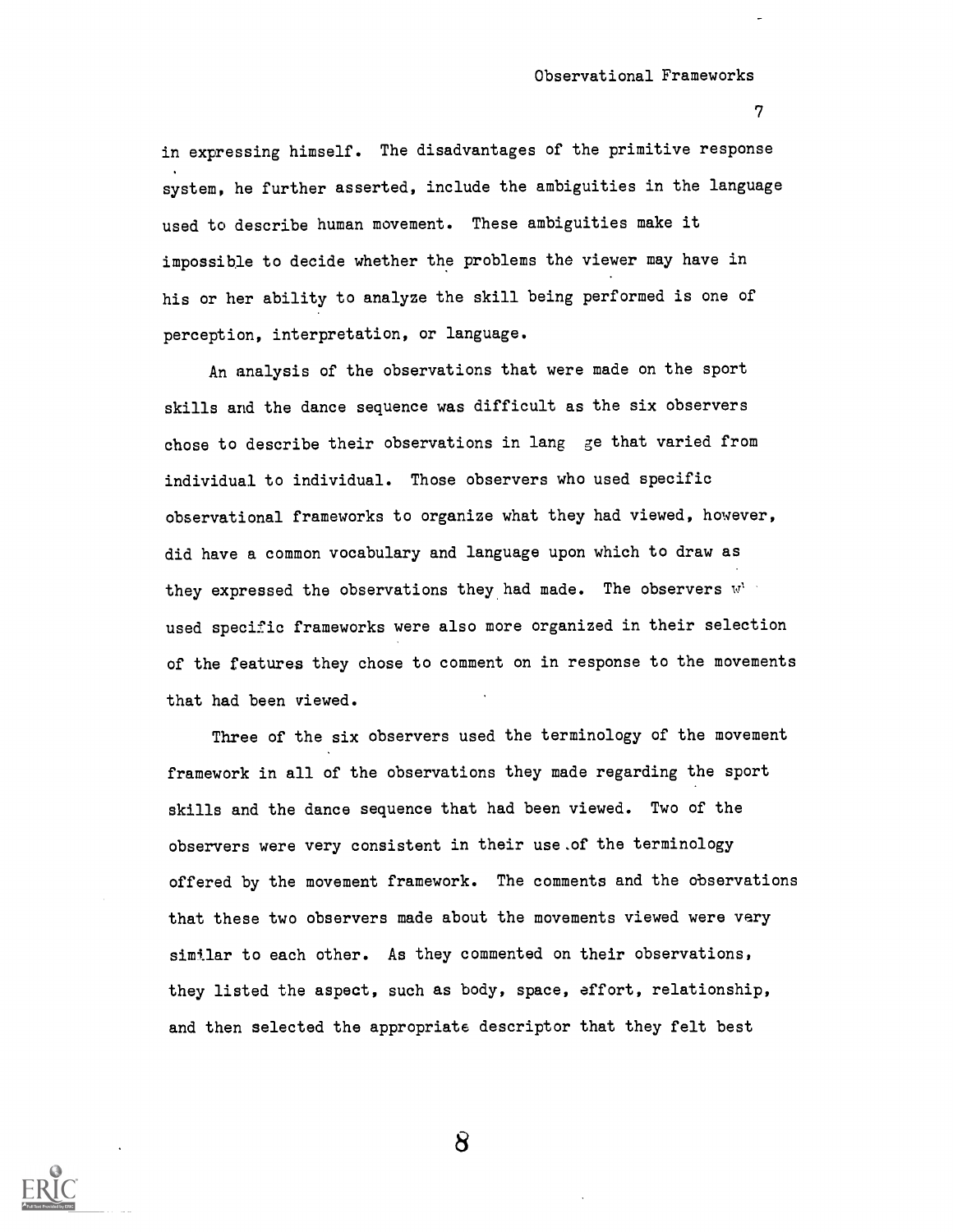### Observational Frameworks

7

in expressing himself. The disadvantages of the primitive response system, he further asserted, include the ambiguities in the language used to describe human movement. These ambiguities make it impossible to decide whether the problems the viewer may have in his or her ability to analyze the skill being performed is one of perception, interpretation, or language.

An analysis of the observations that were made on the sport skills and the dance sequence was difficult as the six observers chose to describe their observations in lang ge that varied from individual to individual. Those observers who used specific observational frameworks to organize what they had viewed, however, did have a common vocabulary and language upon which to draw as they expressed the observations they had made. The observers  $\mathbb{V}^{V^{\perp}}$ used specific frameworks were also more organized in their selection of the features they chose to comment on in response to the movements that had been viewed.

Three of the six observers used the terminology of the movement framework in all of the observations they made regarding the sport skills and the dance sequence that had been viewed. Two of the observers were very consistent in their use.of the terminology offered by the movement framework. The comments and the observations that these two observers made about the movements viewed were very similar to each other. As they commented on their observations, they listed the aspect, such as body, space, effort, relationship, and then selected the appropriate descriptor that they felt best

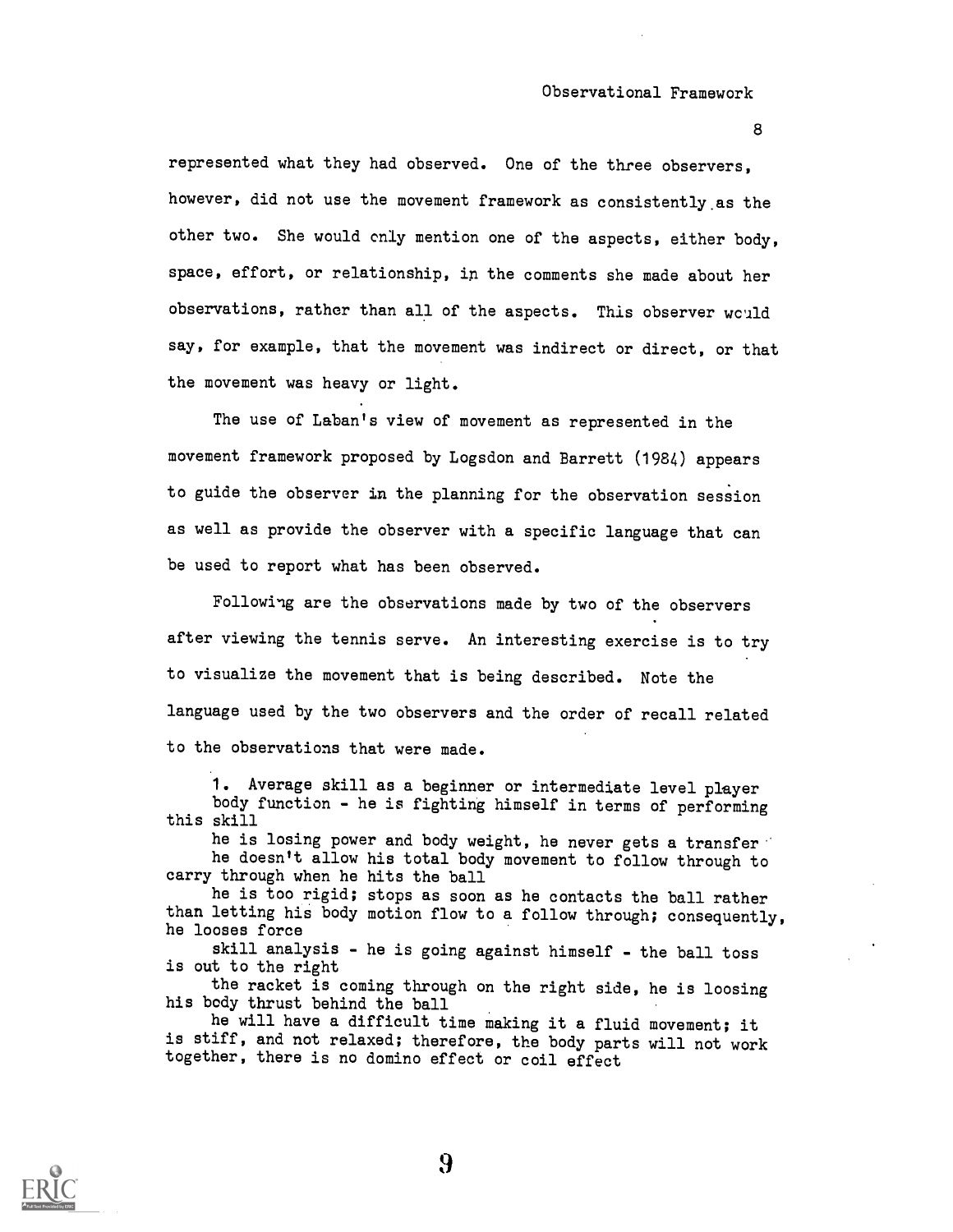# Observational Framework

8

represented what they had observed. One of the three observers, however, did not use the movement framework as consistently.as the other two. She would only mention one of the aspects, either body, space, effort, or relationship, in the comments she made about her observations, rather than all of the aspects. This observer would say, for example, that the movement was indirect or direct, or that the movement was heavy or light.

The use of Laban's view of movement as represented in the movement framework proposed by Logsdon and Barrett (1984) appears to guide the observer in the planning for the observation session as well as provide the observer with a specific language that can be used to report what has been observed.

Following are the observations made by two of the observers after viewing the tennis serve. An interesting exercise is to try to visualize the movement that is being described. Note the language used by the two observers and the order of recall related to the observations that were made.

1. Average skill as a beginner or intermediate level player body function - he is fighting himself in terms of performing this skill

he is losing power and body weight, he never gets a transfer he doesn't allow his total body movement to follow through to carry through when he hits the ball

he is too rigid; stops as soon as he contacts the ball rather than letting his body motion flow to a follow through; consequently, he looses force

skill analysis - he is going against himself - the ball toss is out to the right

the racket is coming through on the right side, he is loosing his body thrust behind the ball

he will have a difficult time making it a fluid movement; it is stiff, and not relaxed; therefore, the body parts will not work together, there is no domino effect or coil effect

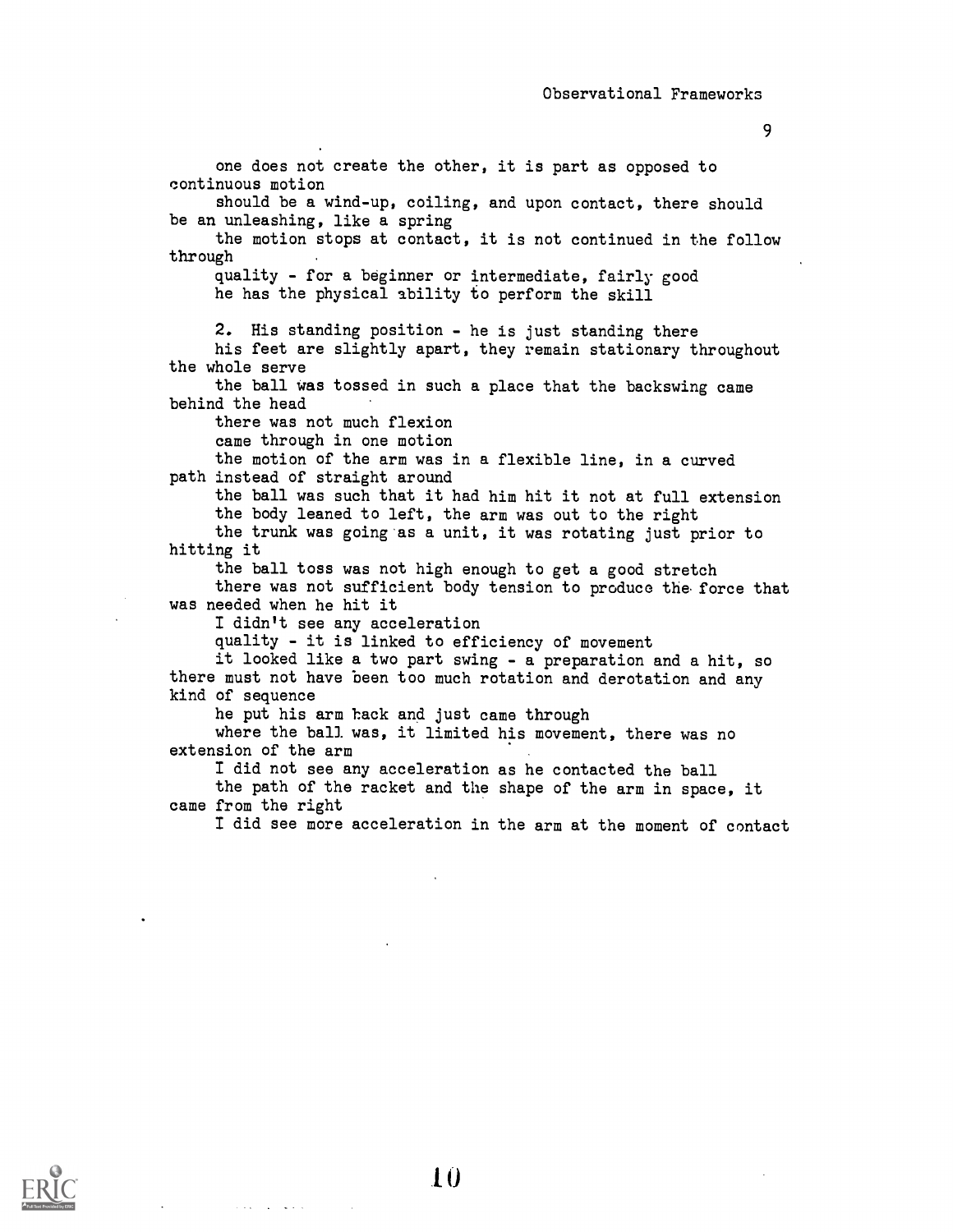one does not create the other, it is part as opposed to continuous motion should be a wind-up, coiling, and upon contact, there should be an unleashing, like a spring the motion stops at contact, it is not continued in the follow through quality - for a beginner or intermediate, fairly good he has the physical ability to perform the skill 2. His standing position - he is just standing there his feet are slightly apart, they remain stationary throughout the whole serve the ball was tossed in such a place that the backswing came behind the head there was not much flexion came through in one motion the motion of the arm was in a flexible line, in a curved path instead of straight around the ball was such that it had him hit it not at full extension the body leaned to left, the arm was out to the right the trunk was going as a unit, it was rotating just prior to hitting it the ball toss was not high enough to get a good stretch there was not sufficient body tension to produce the force that was needed when he hit it I didn't see any acceleration quality - it is linked to efficiency of movement it looked like a two part swing - a preparation and a hit, so there must not have been too much rotation and derotation and any kind of sequence he put his arm hack and just came through where the ball was, it limited his movement, there was no extension of the arm I did not see any acceleration as he contacted the ball the path of the racket and the shape of the arm in space, it came from the right I did see more acceleration in the arm at the moment of contact